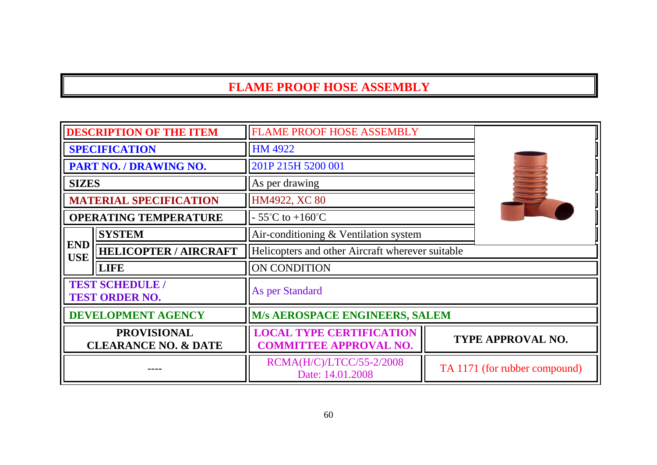## **FLAME PROOF HOSE ASSEMBLY**

| <b>DESCRIPTION OF THE ITEM</b>                           |                             | <b>FLAME PROOF HOSE ASSEMBLY</b>                                 |                               |
|----------------------------------------------------------|-----------------------------|------------------------------------------------------------------|-------------------------------|
| <b>SPECIFICATION</b>                                     |                             | <b>HM 4922</b>                                                   |                               |
| PART NO. / DRAWING NO.                                   |                             | 201P 215H 5200 001                                               |                               |
| <b>SIZES</b>                                             |                             | As per drawing                                                   |                               |
| <b>MATERIAL SPECIFICATION</b>                            |                             | HM4922, XC 80                                                    |                               |
| <b>OPERATING TEMPERATURE</b>                             |                             | $-55^{\circ}$ C to $+160^{\circ}$ C                              |                               |
|                                                          | <b>SYSTEM</b>               | Air-conditioning & Ventilation system                            |                               |
| <b>END</b><br><b>HELICOPTER / AIRCRAFT</b><br><b>USE</b> |                             | Helicopters and other Aircraft wherever suitable                 |                               |
|                                                          | <b>LIFE</b><br>ON CONDITION |                                                                  |                               |
| <b>TEST SCHEDULE /</b><br><b>TEST ORDER NO.</b>          |                             | As per Standard                                                  |                               |
| <b>DEVELOPMENT AGENCY</b>                                |                             | <b>M/s AEROSPACE ENGINEERS, SALEM</b>                            |                               |
| <b>PROVISIONAL</b><br><b>CLEARANCE NO. &amp; DATE</b>    |                             | <b>LOCAL TYPE CERTIFICATION</b><br><b>COMMITTEE APPROVAL NO.</b> | TYPE APPROVAL NO.             |
|                                                          |                             | RCMA(H/C)/LTCC/55-2/2008<br>Date: 14.01.2008                     | TA 1171 (for rubber compound) |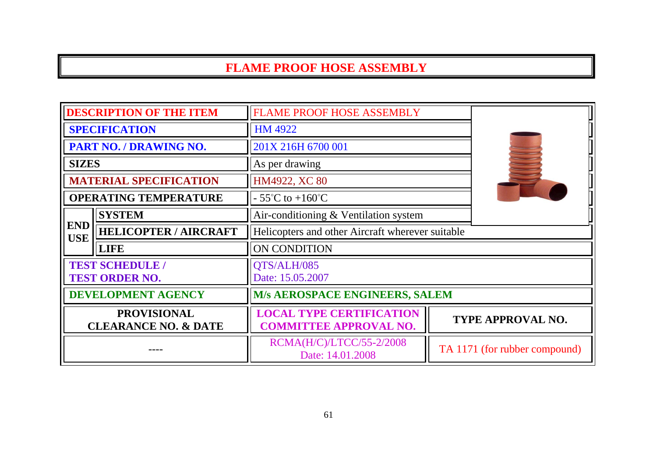# **FLAME PROOF HOSE ASSEMBLY**

| <b>DESCRIPTION OF THE ITEM</b>                        |                              | <b>FLAME PROOF HOSE ASSEMBLY</b>                                 |                               |
|-------------------------------------------------------|------------------------------|------------------------------------------------------------------|-------------------------------|
| <b>SPECIFICATION</b>                                  |                              | <b>HM 4922</b>                                                   |                               |
| PART NO. / DRAWING NO.                                |                              | 201X 216H 6700 001                                               |                               |
| <b>SIZES</b>                                          |                              | As per drawing                                                   |                               |
| <b>MATERIAL SPECIFICATION</b>                         |                              | HM4922, XC 80                                                    |                               |
|                                                       | <b>OPERATING TEMPERATURE</b> | $-55^{\circ}$ C to $+160^{\circ}$ C                              |                               |
|                                                       | <b>SYSTEM</b>                | Air-conditioning & Ventilation system                            |                               |
| <b>END</b><br><b>USE</b>                              | <b>HELICOPTER / AIRCRAFT</b> | Helicopters and other Aircraft wherever suitable                 |                               |
|                                                       | <b>LIFE</b>                  | ON CONDITION                                                     |                               |
| <b>TEST SCHEDULE /</b><br><b>TEST ORDER NO.</b>       |                              | QTS/ALH/085<br>Date: 15.05.2007                                  |                               |
| <b>DEVELOPMENT AGENCY</b>                             |                              | M/s AEROSPACE ENGINEERS, SALEM                                   |                               |
| <b>PROVISIONAL</b><br><b>CLEARANCE NO. &amp; DATE</b> |                              | <b>LOCAL TYPE CERTIFICATION</b><br><b>COMMITTEE APPROVAL NO.</b> | <b>TYPE APPROVAL NO.</b>      |
|                                                       |                              | RCMA(H/C)/LTCC/55-2/2008<br>Date: 14.01.2008                     | TA 1171 (for rubber compound) |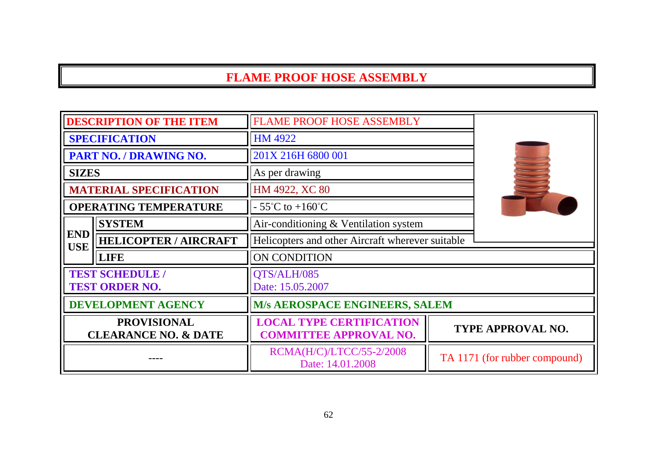### **FLAME PROOF HOSE ASSEMBLY**

| <b>DESCRIPTION OF THE ITEM</b>                        |                              | <b>FLAME PROOF HOSE ASSEMBLY</b>                                 |  |                               |
|-------------------------------------------------------|------------------------------|------------------------------------------------------------------|--|-------------------------------|
| <b>SPECIFICATION</b>                                  |                              | HM 4922                                                          |  |                               |
| PART NO. / DRAWING NO.                                |                              | 201X 216H 6800 001                                               |  |                               |
| <b>SIZES</b>                                          |                              | As per drawing                                                   |  |                               |
| <b>MATERIAL SPECIFICATION</b>                         |                              | HM 4922, XC 80                                                   |  |                               |
|                                                       | <b>OPERATING TEMPERATURE</b> | $-55^{\circ}$ C to $+160^{\circ}$ C                              |  |                               |
|                                                       | <b>SYSTEM</b>                | Air-conditioning & Ventilation system                            |  |                               |
| <b>END</b><br><b>USE</b>                              | <b>HELICOPTER / AIRCRAFT</b> | Helicopters and other Aircraft wherever suitable                 |  |                               |
|                                                       | <b>LIFE</b>                  | ON CONDITION                                                     |  |                               |
| <b>TEST SCHEDULE /</b><br><b>TEST ORDER NO.</b>       |                              | QTS/ALH/085<br>Date: 15.05.2007                                  |  |                               |
| <b>DEVELOPMENT AGENCY</b>                             |                              | <b>M/s AEROSPACE ENGINEERS, SALEM</b>                            |  |                               |
| <b>PROVISIONAL</b><br><b>CLEARANCE NO. &amp; DATE</b> |                              | <b>LOCAL TYPE CERTIFICATION</b><br><b>COMMITTEE APPROVAL NO.</b> |  | TYPE APPROVAL NO.             |
|                                                       |                              | RCMA(H/C)/LTCC/55-2/2008<br>Date: 14.01.2008                     |  | TA 1171 (for rubber compound) |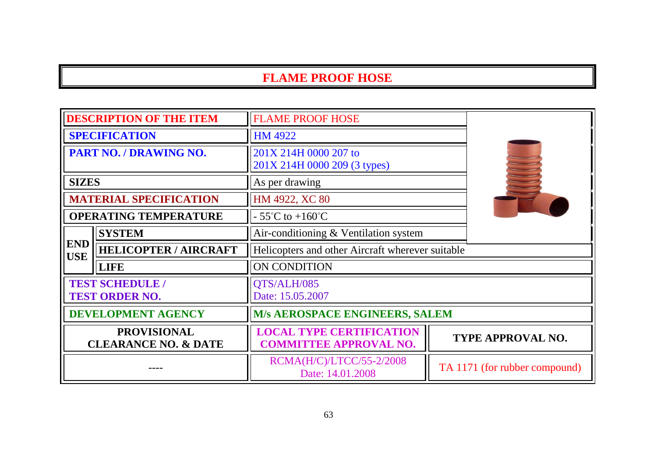| <b>DESCRIPTION OF THE ITEM</b>                        |                              | <b>FLAME PROOF HOSE</b>                                          |  |                               |
|-------------------------------------------------------|------------------------------|------------------------------------------------------------------|--|-------------------------------|
| <b>SPECIFICATION</b>                                  |                              | HM 4922                                                          |  |                               |
| PART NO. / DRAWING NO.                                |                              | 201X 214H 0000 207 to<br>201X 214H 0000 209 (3 types)            |  |                               |
| <b>SIZES</b>                                          |                              | As per drawing                                                   |  |                               |
| <b>MATERIAL SPECIFICATION</b>                         |                              | HM 4922, XC 80                                                   |  |                               |
| <b>OPERATING TEMPERATURE</b>                          |                              | $-55^{\circ}$ C to $+160^{\circ}$ C                              |  |                               |
|                                                       | <b>SYSTEM</b>                | Air-conditioning & Ventilation system                            |  |                               |
| <b>END</b><br><b>USE</b>                              | <b>HELICOPTER / AIRCRAFT</b> | Helicopters and other Aircraft wherever suitable                 |  |                               |
|                                                       | <b>LIFE</b>                  | ON CONDITION                                                     |  |                               |
| <b>TEST SCHEDULE /</b><br><b>TEST ORDER NO.</b>       |                              | QTS/ALH/085<br>Date: 15.05.2007                                  |  |                               |
| <b>DEVELOPMENT AGENCY</b>                             |                              | M/s AEROSPACE ENGINEERS, SALEM                                   |  |                               |
| <b>PROVISIONAL</b><br><b>CLEARANCE NO. &amp; DATE</b> |                              | <b>LOCAL TYPE CERTIFICATION</b><br><b>COMMITTEE APPROVAL NO.</b> |  | <b>TYPE APPROVAL NO.</b>      |
|                                                       |                              | RCMA(H/C)/LTCC/55-2/2008<br>Date: 14.01.2008                     |  | TA 1171 (for rubber compound) |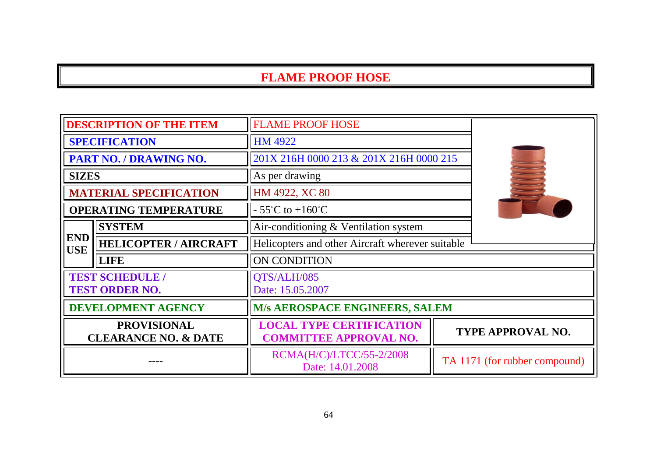| <b>DESCRIPTION OF THE ITEM</b>                        |                               | <b>FLAME PROOF HOSE</b>                                          |                               |
|-------------------------------------------------------|-------------------------------|------------------------------------------------------------------|-------------------------------|
| <b>SPECIFICATION</b>                                  |                               | HM 4922                                                          |                               |
| PART NO. / DRAWING NO.                                |                               | 201X 216H 0000 213 & 201X 216H 0000 215                          |                               |
| <b>SIZES</b>                                          |                               | As per drawing                                                   |                               |
|                                                       | <b>MATERIAL SPECIFICATION</b> | HM 4922, XC 80                                                   |                               |
|                                                       | <b>OPERATING TEMPERATURE</b>  | $-55^{\circ}$ C to $+160^{\circ}$ C                              |                               |
|                                                       | <b>SYSTEM</b>                 | Air-conditioning $&$ Ventilation system                          |                               |
| <b>END</b><br><b>USE</b>                              | <b>HELICOPTER / AIRCRAFT</b>  | Helicopters and other Aircraft wherever suitable                 |                               |
|                                                       | <b>LIFE</b>                   | ON CONDITION                                                     |                               |
| <b>TEST SCHEDULE /</b><br><b>TEST ORDER NO.</b>       |                               | QTS/ALH/085<br>Date: 15.05.2007                                  |                               |
|                                                       | <b>DEVELOPMENT AGENCY</b>     | <b>M/s AEROSPACE ENGINEERS, SALEM</b>                            |                               |
| <b>PROVISIONAL</b><br><b>CLEARANCE NO. &amp; DATE</b> |                               | <b>LOCAL TYPE CERTIFICATION</b><br><b>COMMITTEE APPROVAL NO.</b> | <b>TYPE APPROVAL NO.</b>      |
|                                                       |                               | RCMA(H/C)/LTCC/55-2/2008<br>Date: 14.01.2008                     | TA 1171 (for rubber compound) |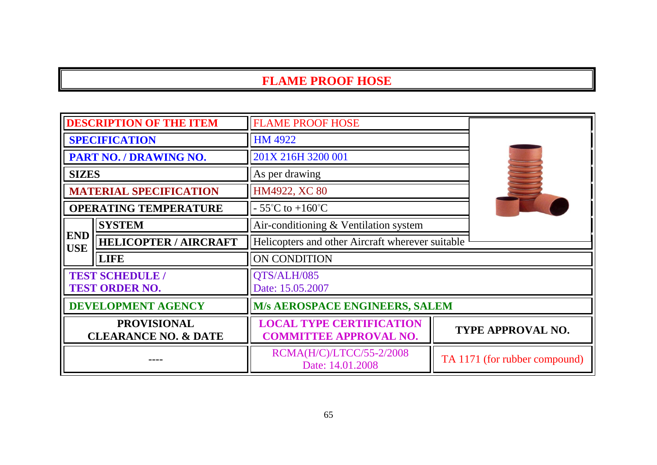| <b>DESCRIPTION OF THE ITEM</b>                        |                               | <b>FLAME PROOF HOSE</b>                                          |                               |
|-------------------------------------------------------|-------------------------------|------------------------------------------------------------------|-------------------------------|
| <b>SPECIFICATION</b>                                  |                               | <b>HM 4922</b>                                                   |                               |
| PART NO. / DRAWING NO.                                |                               | 201X 216H 3200 001                                               |                               |
| <b>SIZES</b>                                          |                               | As per drawing                                                   |                               |
|                                                       | <b>MATERIAL SPECIFICATION</b> | HM4922, XC 80                                                    |                               |
| <b>OPERATING TEMPERATURE</b>                          |                               | $-55^{\circ}$ C to $+160^{\circ}$ C                              |                               |
|                                                       | <b>SYSTEM</b>                 | Air-conditioning & Ventilation system                            |                               |
| <b>END</b><br><b>USE</b>                              | <b>HELICOPTER / AIRCRAFT</b>  | Helicopters and other Aircraft wherever suitable                 |                               |
|                                                       | <b>LIFE</b>                   | ON CONDITION                                                     |                               |
| <b>TEST SCHEDULE /</b><br><b>TEST ORDER NO.</b>       |                               | QTS/ALH/085<br>Date: 15.05.2007                                  |                               |
| <b>DEVELOPMENT AGENCY</b>                             |                               | <b>M/s AEROSPACE ENGINEERS, SALEM</b>                            |                               |
| <b>PROVISIONAL</b><br><b>CLEARANCE NO. &amp; DATE</b> |                               | <b>LOCAL TYPE CERTIFICATION</b><br><b>COMMITTEE APPROVAL NO.</b> | TYPE APPROVAL NO.             |
|                                                       |                               | RCMA(H/C)/LTCC/55-2/2008<br>Date: 14.01.2008                     | TA 1171 (for rubber compound) |